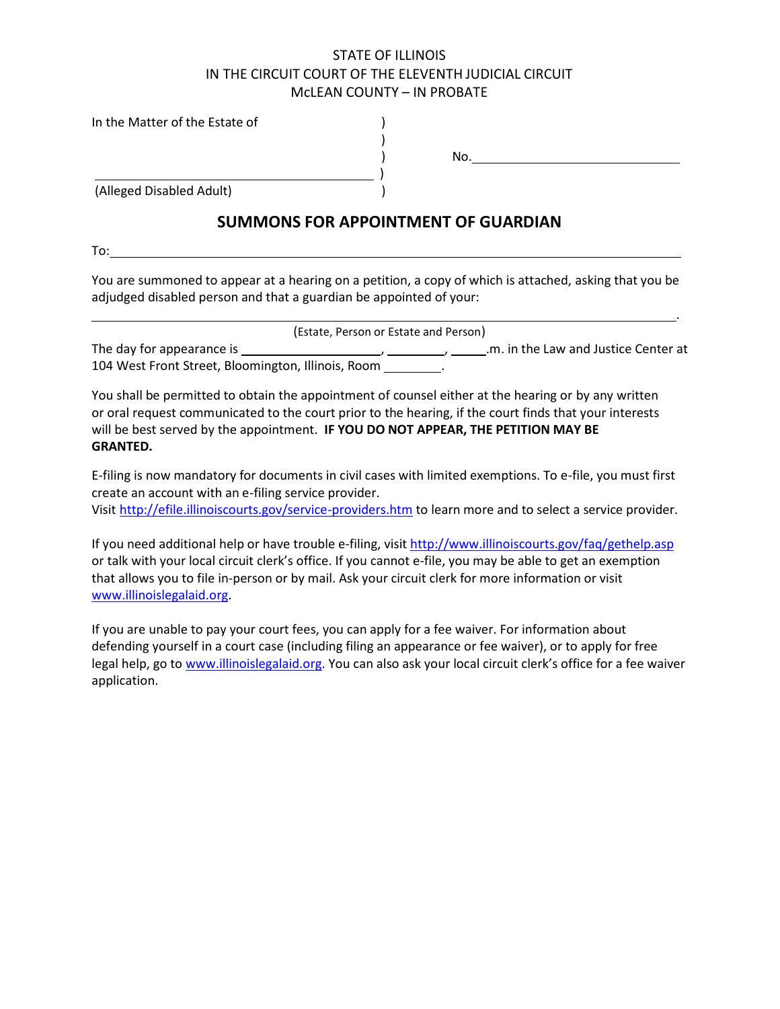## STATE OF ILLINOIS IN THE CIRCUIT COURT OF THE ELEVENTH JUDICIAL CIRCUIT McLEAN COUNTY – IN PROBATE

In the Matter of the Estate of (1)

|                          | No. |
|--------------------------|-----|
|                          |     |
| (Alleged Disabled Adult) |     |

# **SUMMONS FOR APPOINTMENT OF GUARDIAN**

To:

You are summoned to appear at a hearing on a petition, a copy of which is attached, asking that you be adjudged disabled person and that a guardian be appointed of your:

<u>. Andre de la contrada de la contrada de la contrada de la contrada de la contrada de la contrada de la con</u>tra

|                                                    | (Estate, Person or Estate and Person) |
|----------------------------------------------------|---------------------------------------|
| The day for appearance is                          | .m. in the Law and Justice Center at  |
| 104 West Front Street, Bloomington, Illinois, Room |                                       |

You shall be permitted to obtain the appointment of counsel either at the hearing or by any written or oral request communicated to the court prior to the hearing, if the court finds that your interests will be best served by the appointment. **IF YOU DO NOT APPEAR, THE PETITION MAY BE GRANTED.**

E-filing is now mandatory for documents in civil cases with limited exemptions. To e-file, you must first create an account with an e-filing service provider.

Visit http://efile.illinoiscourts.gov/service-providers.htm to learn more and to select a service provider.

If you need additional help or have trouble e-filing, visit http://www.illinoiscourts.gov/faq/gethelp.asp or talk with your local circuit clerk's office. If you cannot e-file, you may be able to get an exemption that allows you to file in-person or by mail. Ask your circuit clerk for more information or visit www.illinoislegalaid.org.

If you are unable to pay your court fees, you can apply for a fee waiver. For information about defending yourself in a court case (including filing an appearance or fee waiver), or to apply for free legal help, go to www.illinoislegalaid.org. You can also ask your local circuit clerk's office for a fee waiver application.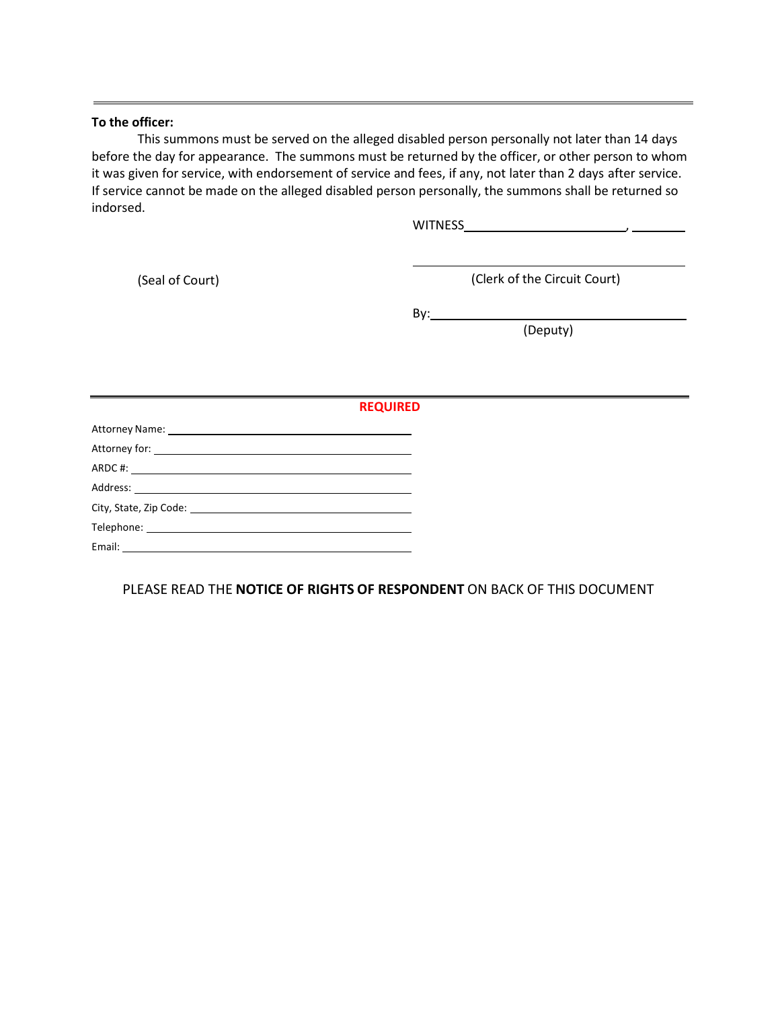#### **To the officer:**

This summons must be served on the alleged disabled person personally not later than 14 days before the day for appearance. The summons must be returned by the officer, or other person to whom it was given for service, with endorsement of service and fees, if any, not later than 2 days after service. If service cannot be made on the alleged disabled person personally, the summons shall be returned so indorsed.

WITNESS ,

(Seal of Court) (Clerk of the Circuit Court)

By:

(Deputy)

| the control of the control of the control of the control of the control of                                                                                                                                                                                                                                                                                                                                               | <b>REQUIRED</b> |
|--------------------------------------------------------------------------------------------------------------------------------------------------------------------------------------------------------------------------------------------------------------------------------------------------------------------------------------------------------------------------------------------------------------------------|-----------------|
|                                                                                                                                                                                                                                                                                                                                                                                                                          |                 |
|                                                                                                                                                                                                                                                                                                                                                                                                                          |                 |
|                                                                                                                                                                                                                                                                                                                                                                                                                          |                 |
|                                                                                                                                                                                                                                                                                                                                                                                                                          |                 |
|                                                                                                                                                                                                                                                                                                                                                                                                                          |                 |
|                                                                                                                                                                                                                                                                                                                                                                                                                          |                 |
| Email: $\frac{1}{\sqrt{1-\frac{1}{2}}}\frac{1}{\sqrt{1-\frac{1}{2}}}\frac{1}{\sqrt{1-\frac{1}{2}}}\frac{1}{\sqrt{1-\frac{1}{2}}}\frac{1}{\sqrt{1-\frac{1}{2}}}\frac{1}{\sqrt{1-\frac{1}{2}}}\frac{1}{\sqrt{1-\frac{1}{2}}}\frac{1}{\sqrt{1-\frac{1}{2}}}\frac{1}{\sqrt{1-\frac{1}{2}}}\frac{1}{\sqrt{1-\frac{1}{2}}}\frac{1}{\sqrt{1-\frac{1}{2}}}\frac{1}{\sqrt{1-\frac{1}{2}}}\frac{1}{\sqrt{1-\frac{1}{2}}}\frac{1}{$ |                 |

PLEASE READ THE **NOTICE OF RIGHTS OF RESPONDENT** ON BACK OF THIS DOCUMENT